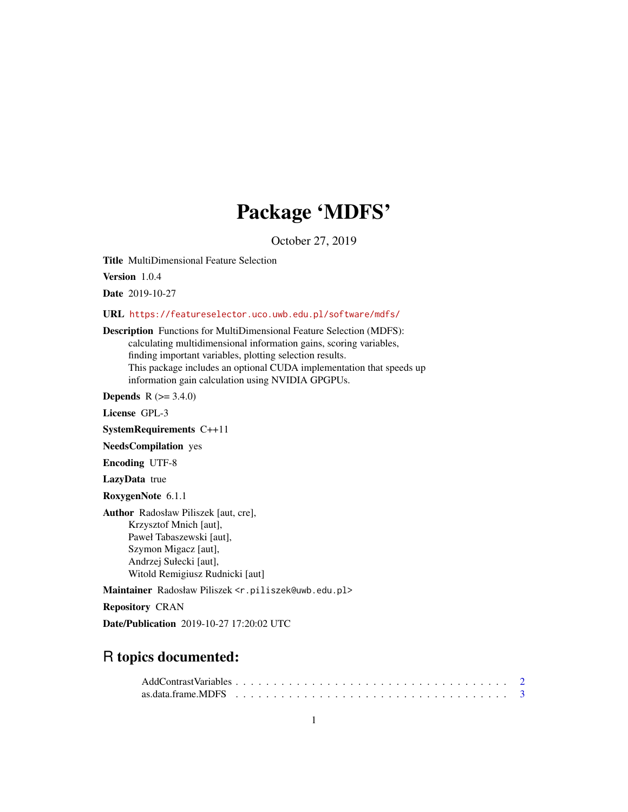## Package 'MDFS'

October 27, 2019

<span id="page-0-0"></span>Title MultiDimensional Feature Selection

Version 1.0.4

Date 2019-10-27

URL <https://featureselector.uco.uwb.edu.pl/software/mdfs/>

Description Functions for MultiDimensional Feature Selection (MDFS): calculating multidimensional information gains, scoring variables, finding important variables, plotting selection results. This package includes an optional CUDA implementation that speeds up information gain calculation using NVIDIA GPGPUs.

**Depends** R  $(>= 3.4.0)$ 

License GPL-3

SystemRequirements C++11

NeedsCompilation yes

Encoding UTF-8

LazyData true

RoxygenNote 6.1.1

Author Radosław Piliszek [aut, cre], Krzysztof Mnich [aut], Paweł Tabaszewski [aut], Szymon Migacz [aut], Andrzej Sułecki [aut], Witold Remigiusz Rudnicki [aut]

Maintainer Radosław Piliszek <r.piliszek@uwb.edu.pl>

Repository CRAN

Date/Publication 2019-10-27 17:20:02 UTC

## R topics documented: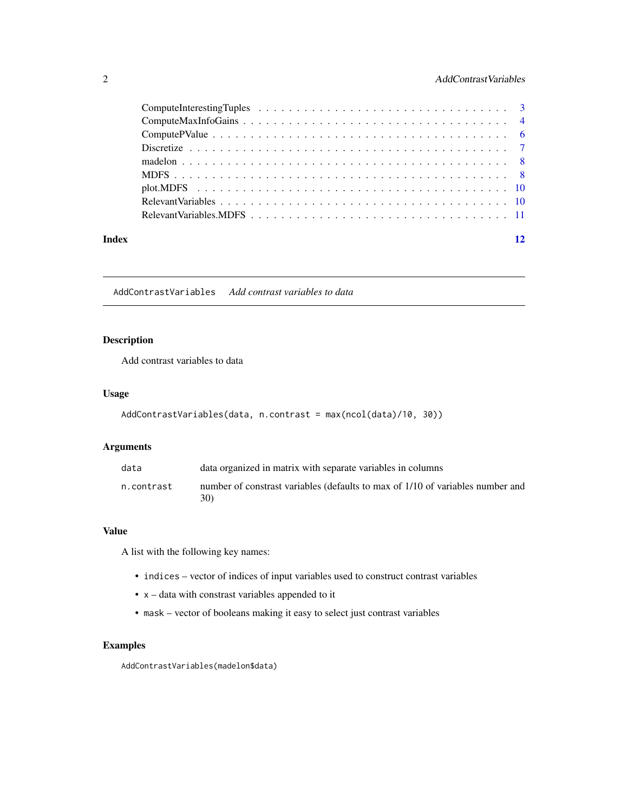#### <span id="page-1-0"></span>2 **AddContrastVariables**

| Index | 12 |
|-------|----|
|       |    |
|       |    |
|       |    |
|       |    |
|       |    |
|       |    |
|       |    |
|       |    |
|       |    |

AddContrastVariables *Add contrast variables to data*

#### Description

Add contrast variables to data

#### Usage

```
AddContrastVariables(data, n.contrast = max(ncol(data)/10, 30))
```
#### Arguments

| data       | data organized in matrix with separate variables in columns                           |
|------------|---------------------------------------------------------------------------------------|
| n.contrast | number of constrast variables (defaults to max of 1/10 of variables number and<br>30) |

#### Value

A list with the following key names:

- indices vector of indices of input variables used to construct contrast variables
- x data with constrast variables appended to it
- mask vector of booleans making it easy to select just contrast variables

#### Examples

AddContrastVariables(madelon\$data)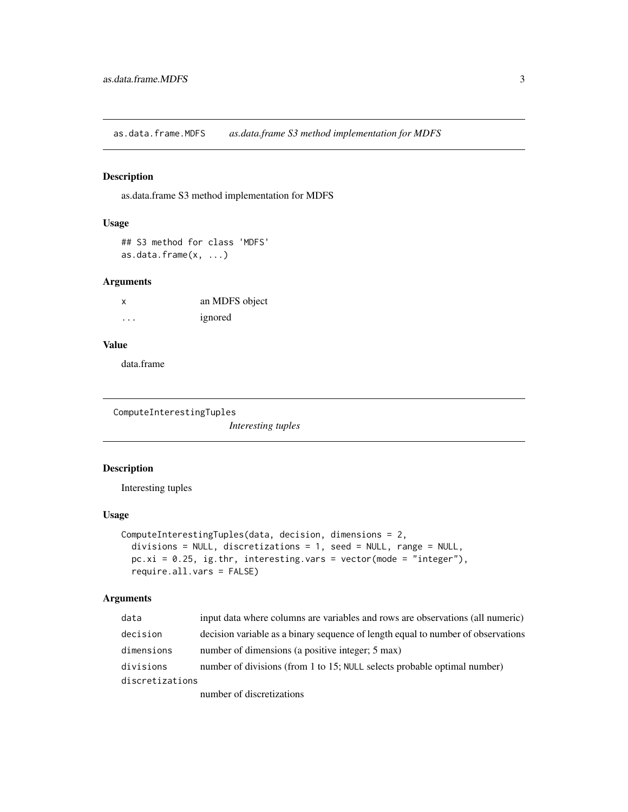<span id="page-2-0"></span>as.data.frame.MDFS *as.data.frame S3 method implementation for MDFS*

#### Description

as.data.frame S3 method implementation for MDFS

#### Usage

## S3 method for class 'MDFS' as.data.frame(x, ...)

#### Arguments

| x | an MDFS object |
|---|----------------|
| . | ignored        |

#### Value

data.frame

ComputeInterestingTuples

*Interesting tuples*

#### Description

Interesting tuples

#### Usage

```
ComputeInterestingTuples(data, decision, dimensions = 2,
 divisions = NULL, discretizations = 1, seed = NULL, range = NULL,
 pc.xi = 0.25, ig.thr, interesting.vars = vector(mode = "integer"),
  require.all.vars = FALSE)
```
#### Arguments

| data            | input data where columns are variables and rows are observations (all numeric)   |
|-----------------|----------------------------------------------------------------------------------|
| decision        | decision variable as a binary sequence of length equal to number of observations |
| dimensions      | number of dimensions (a positive integer; 5 max)                                 |
| divisions       | number of divisions (from 1 to 15; NULL selects probable optimal number)         |
| discretizations |                                                                                  |
|                 | number of discretizations                                                        |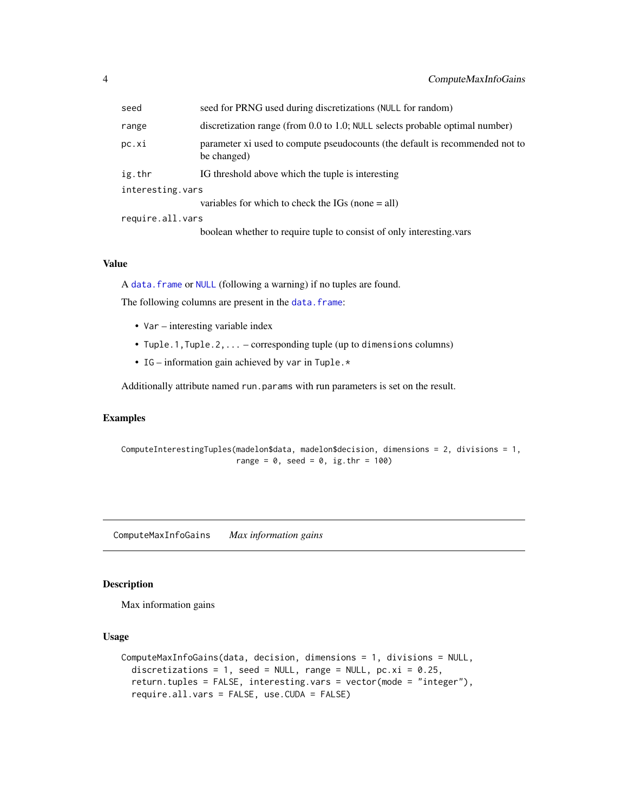<span id="page-3-0"></span>

| seed             | seed for PRNG used during discretizations (NULL for random)                                 |  |  |  |
|------------------|---------------------------------------------------------------------------------------------|--|--|--|
| range            | discretization range (from 0.0 to 1.0; NULL selects probable optimal number)                |  |  |  |
| pc.xi            | parameter xi used to compute pseudocounts (the default is recommended not to<br>be changed) |  |  |  |
| ig.thr           | IG threshold above which the tuple is interesting                                           |  |  |  |
| interesting.vars |                                                                                             |  |  |  |
|                  | variables for which to check the IGs (none $=$ all)                                         |  |  |  |
| require.all.vars |                                                                                             |  |  |  |
|                  | boolean whether to require tuple to consist of only interesting vars                        |  |  |  |

#### Value

A [data.frame](#page-0-0) or [NULL](#page-0-0) (following a warning) if no tuples are found.

The following columns are present in the [data.frame](#page-0-0):

- Var interesting variable index
- Tuple.1,Tuple.2,... corresponding tuple (up to dimensions columns)
- IG information gain achieved by var in Tuple.  $\star$

Additionally attribute named run.params with run parameters is set on the result.

#### Examples

ComputeInterestingTuples(madelon\$data, madelon\$decision, dimensions = 2, divisions = 1, range =  $0$ , seed =  $0$ , ig.thr = 100)

ComputeMaxInfoGains *Max information gains*

#### Description

Max information gains

#### Usage

```
ComputeMaxInfoGains(data, decision, dimensions = 1, divisions = NULL,
  discretizations = 1, seed = NULL, range = NULL, pc.xi = 0.25,
  return.tuples = FALSE, interesting.vars = vector(mode = "integer"),
  require.all.vars = FALSE, use.CUDA = FALSE)
```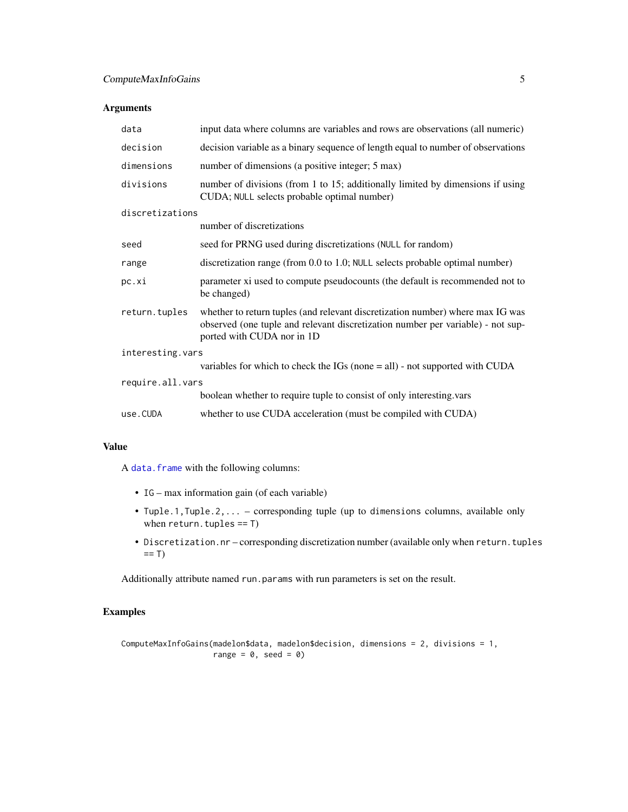#### <span id="page-4-0"></span>Arguments

| data             | input data where columns are variables and rows are observations (all numeric)                                                                                                                  |  |  |  |  |  |
|------------------|-------------------------------------------------------------------------------------------------------------------------------------------------------------------------------------------------|--|--|--|--|--|
| decision         | decision variable as a binary sequence of length equal to number of observations                                                                                                                |  |  |  |  |  |
| dimensions       | number of dimensions (a positive integer; 5 max)                                                                                                                                                |  |  |  |  |  |
| divisions        | number of divisions (from 1 to 15; additionally limited by dimensions if using<br>CUDA; NULL selects probable optimal number)                                                                   |  |  |  |  |  |
| discretizations  |                                                                                                                                                                                                 |  |  |  |  |  |
|                  | number of discretizations                                                                                                                                                                       |  |  |  |  |  |
| seed             | seed for PRNG used during discretizations (NULL for random)                                                                                                                                     |  |  |  |  |  |
| range            | discretization range (from 0.0 to 1.0; NULL selects probable optimal number)                                                                                                                    |  |  |  |  |  |
| pc.xi            | parameter xi used to compute pseudocounts (the default is recommended not to<br>be changed)                                                                                                     |  |  |  |  |  |
| return.tuples    | whether to return tuples (and relevant discretization number) where max IG was<br>observed (one tuple and relevant discretization number per variable) - not sup-<br>ported with CUDA nor in 1D |  |  |  |  |  |
| interesting.vars |                                                                                                                                                                                                 |  |  |  |  |  |
|                  | variables for which to check the $IGs$ (none $=$ all) - not supported with CUDA                                                                                                                 |  |  |  |  |  |
|                  | require.all.vars                                                                                                                                                                                |  |  |  |  |  |
|                  | boolean whether to require tuple to consist of only interesting.vars                                                                                                                            |  |  |  |  |  |
| use.CUDA         | whether to use CUDA acceleration (must be compiled with CUDA)                                                                                                                                   |  |  |  |  |  |

#### Value

A [data.frame](#page-0-0) with the following columns:

- IG max information gain (of each variable)
- Tuple.1,Tuple.2,... corresponding tuple (up to dimensions columns, available only when  $return.tuples == T)$
- Discretization.nr corresponding discretization number (available only when return.tuples  $== T)$

Additionally attribute named run.params with run parameters is set on the result.

#### Examples

ComputeMaxInfoGains(madelon\$data, madelon\$decision, dimensions = 2, divisions = 1, range =  $0$ , seed =  $0$ )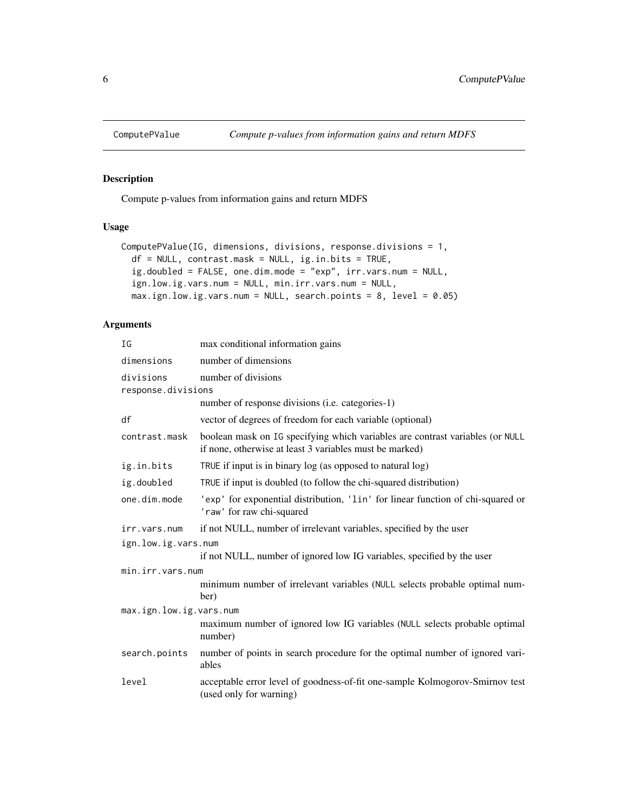<span id="page-5-0"></span>

#### Description

Compute p-values from information gains and return MDFS

#### Usage

```
ComputePValue(IG, dimensions, divisions, response.divisions = 1,
 df = NULL, contrast.mask = NULL, ig.in.bits = TRUE,
  ig.doubled = FALSE, one.dim.mode = "exp", irr.vars.num = NULL,
  ign.low.ig.vars.num = NULL, min.irr.vars.num = NULL,
 max.ign.low.ig.vars.num = NULL, search.points = 8, level = 0.05)
```
#### Arguments

| ΙG                              | max conditional information gains                                                                                                        |  |  |  |  |  |
|---------------------------------|------------------------------------------------------------------------------------------------------------------------------------------|--|--|--|--|--|
| dimensions                      | number of dimensions                                                                                                                     |  |  |  |  |  |
| divisions<br>response.divisions | number of divisions                                                                                                                      |  |  |  |  |  |
|                                 | number of response divisions ( <i>i.e.</i> categories-1)                                                                                 |  |  |  |  |  |
| df                              | vector of degrees of freedom for each variable (optional)                                                                                |  |  |  |  |  |
| contrast.mask                   | boolean mask on IG specifying which variables are contrast variables (or NULL<br>if none, otherwise at least 3 variables must be marked) |  |  |  |  |  |
| ig.in.bits                      | TRUE if input is in binary log (as opposed to natural log)                                                                               |  |  |  |  |  |
| ig.doubled                      | TRUE if input is doubled (to follow the chi-squared distribution)                                                                        |  |  |  |  |  |
| one.dim.mode                    | 'exp' for exponential distribution, 'lin' for linear function of chi-squared or<br>'raw' for raw chi-squared                             |  |  |  |  |  |
| irr.vars.num                    | if not NULL, number of irrelevant variables, specified by the user                                                                       |  |  |  |  |  |
|                                 | ign.low.ig.vars.num                                                                                                                      |  |  |  |  |  |
|                                 | if not NULL, number of ignored low IG variables, specified by the user                                                                   |  |  |  |  |  |
| min.irr.vars.num                |                                                                                                                                          |  |  |  |  |  |
|                                 | minimum number of irrelevant variables (NULL selects probable optimal num-<br>ber)                                                       |  |  |  |  |  |
| max.ign.low.ig.vars.num         |                                                                                                                                          |  |  |  |  |  |
|                                 | maximum number of ignored low IG variables (NULL selects probable optimal<br>number)                                                     |  |  |  |  |  |
| search.points                   | number of points in search procedure for the optimal number of ignored vari-<br>ables                                                    |  |  |  |  |  |
| level                           | acceptable error level of goodness-of-fit one-sample Kolmogorov-Smirnov test<br>(used only for warning)                                  |  |  |  |  |  |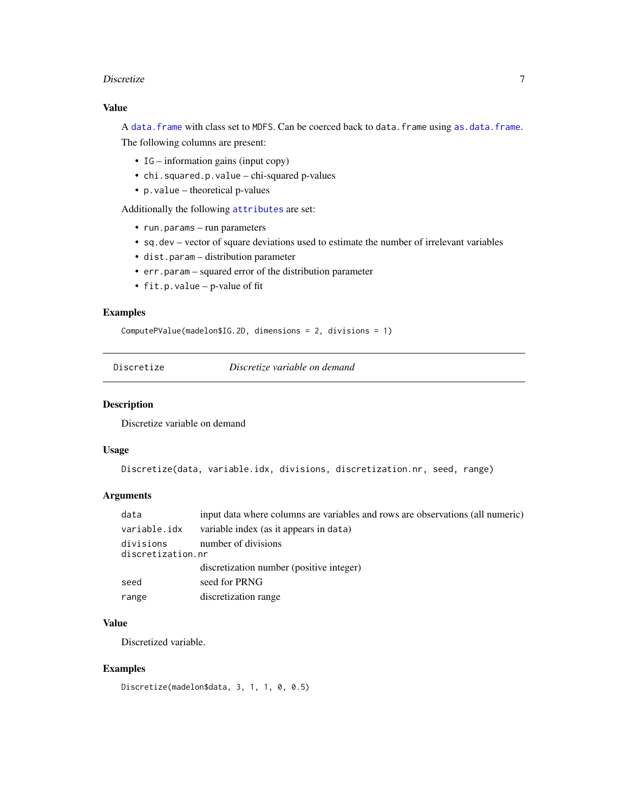#### <span id="page-6-0"></span>Discretize 2012 and 2012 and 2012 and 2012 and 2012 and 2012 and 2012 and 2012 and 2012 and 2012 and 2012 and 201

#### Value

A [data.frame](#page-0-0) with class set to MDFS. Can be coerced back to data.frame using [as.data.frame](#page-0-0). The following columns are present:

- IG information gains (input copy)
- chi.squared.p.value chi-squared p-values
- p.value theoretical p-values

Additionally the following [attributes](#page-0-0) are set:

- run.params run parameters
- sq.dev vector of square deviations used to estimate the number of irrelevant variables
- dist.param distribution parameter
- err.param squared error of the distribution parameter
- fit.p.value p-value of fit

#### Examples

ComputePValue(madelon\$IG.2D, dimensions = 2, divisions = 1)

Discretize *Discretize variable on demand*

#### Description

Discretize variable on demand

#### Usage

```
Discretize(data, variable.idx, divisions, discretization.nr, seed, range)
```
#### Arguments

| data                                                  | input data where columns are variables and rows are observations (all numeric) |  |  |
|-------------------------------------------------------|--------------------------------------------------------------------------------|--|--|
| variable.idx                                          | variable index (as it appears in data)                                         |  |  |
| divisions<br>number of divisions<br>discretization.nr |                                                                                |  |  |
|                                                       | discretization number (positive integer)                                       |  |  |
| seed                                                  | seed for PRNG                                                                  |  |  |
| range                                                 | discretization range                                                           |  |  |

#### Value

Discretized variable.

#### Examples

```
Discretize(madelon$data, 3, 1, 1, 0, 0.5)
```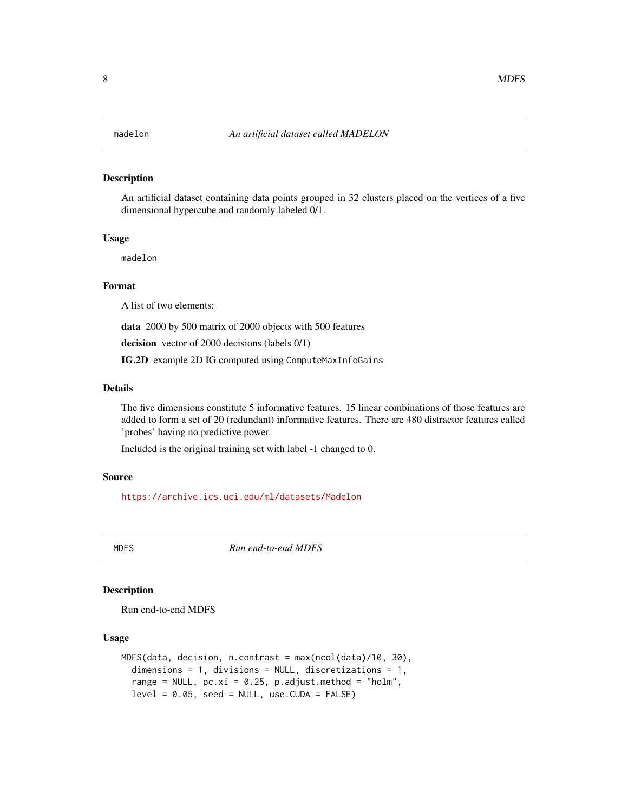#### <span id="page-7-0"></span>Description

An artificial dataset containing data points grouped in 32 clusters placed on the vertices of a five dimensional hypercube and randomly labeled 0/1.

#### Usage

madelon

#### Format

A list of two elements:

data 2000 by 500 matrix of 2000 objects with 500 features

decision vector of 2000 decisions (labels 0/1)

IG.2D example 2D IG computed using ComputeMaxInfoGains

#### Details

The five dimensions constitute 5 informative features. 15 linear combinations of those features are added to form a set of 20 (redundant) informative features. There are 480 distractor features called 'probes' having no predictive power.

Included is the original training set with label -1 changed to 0.

#### Source

<https://archive.ics.uci.edu/ml/datasets/Madelon>

MDFS *Run end-to-end MDFS*

#### Description

Run end-to-end MDFS

#### Usage

```
MDFS(data, decision, n.contrast = max(ncol(data)/10, 30),
  dimensions = 1, divisions = NULL, discretizations = 1,
  range = NULL, pc.xi = 0.25, p.addjust.method = "holm",level = 0.05, seed = NULL, use. CUDA = FALSE)
```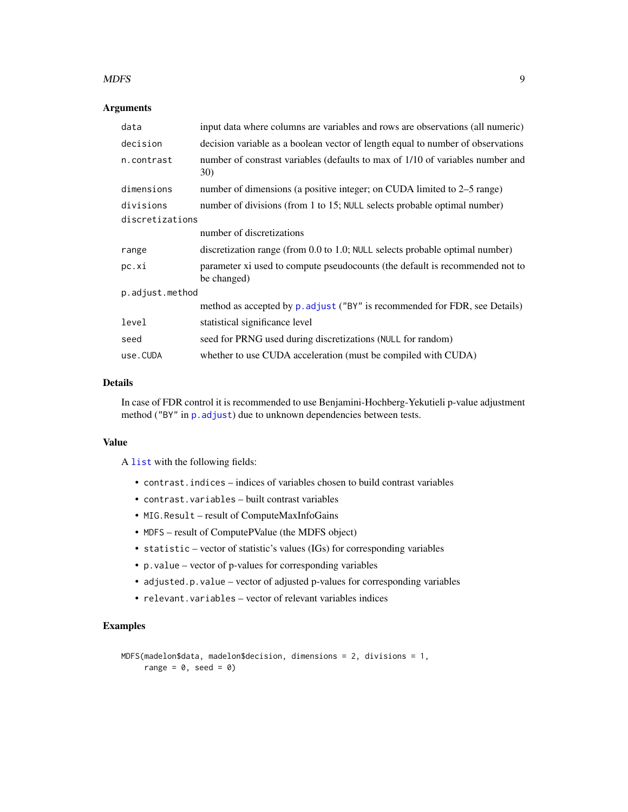#### <span id="page-8-0"></span>MDFS 9

#### Arguments

| input data where columns are variables and rows are observations (all numeric)              |  |  |  |  |  |  |
|---------------------------------------------------------------------------------------------|--|--|--|--|--|--|
| decision variable as a boolean vector of length equal to number of observations             |  |  |  |  |  |  |
| number of constrast variables (defaults to max of 1/10 of variables number and<br>30)       |  |  |  |  |  |  |
| number of dimensions (a positive integer; on CUDA limited to 2–5 range)                     |  |  |  |  |  |  |
| number of divisions (from 1 to 15; NULL selects probable optimal number)                    |  |  |  |  |  |  |
| discretizations                                                                             |  |  |  |  |  |  |
| number of discretizations                                                                   |  |  |  |  |  |  |
| discretization range (from 0.0 to 1.0; NULL selects probable optimal number)                |  |  |  |  |  |  |
| parameter xi used to compute pseudocounts (the default is recommended not to<br>be changed) |  |  |  |  |  |  |
| p.adjust.method                                                                             |  |  |  |  |  |  |
| method as accepted by p. adjust ("BY" is recommended for FDR, see Details)                  |  |  |  |  |  |  |
| statistical significance level                                                              |  |  |  |  |  |  |
| seed for PRNG used during discretizations (NULL for random)                                 |  |  |  |  |  |  |
| whether to use CUDA acceleration (must be compiled with CUDA)                               |  |  |  |  |  |  |
|                                                                                             |  |  |  |  |  |  |

#### Details

In case of FDR control it is recommended to use Benjamini-Hochberg-Yekutieli p-value adjustment method ("BY" in p. adjust) due to unknown dependencies between tests.

#### Value

A [list](#page-0-0) with the following fields:

- contrast.indices indices of variables chosen to build contrast variables
- contrast.variables built contrast variables
- MIG.Result result of ComputeMaxInfoGains
- MDFS result of ComputePValue (the MDFS object)
- statistic vector of statistic's values (IGs) for corresponding variables
- p.value vector of p-values for corresponding variables
- adjusted.p.value vector of adjusted p-values for corresponding variables
- relevant.variables vector of relevant variables indices

#### Examples

```
MDFS(madelon$data, madelon$decision, dimensions = 2, divisions = 1,
     range = 0, seed = 0)
```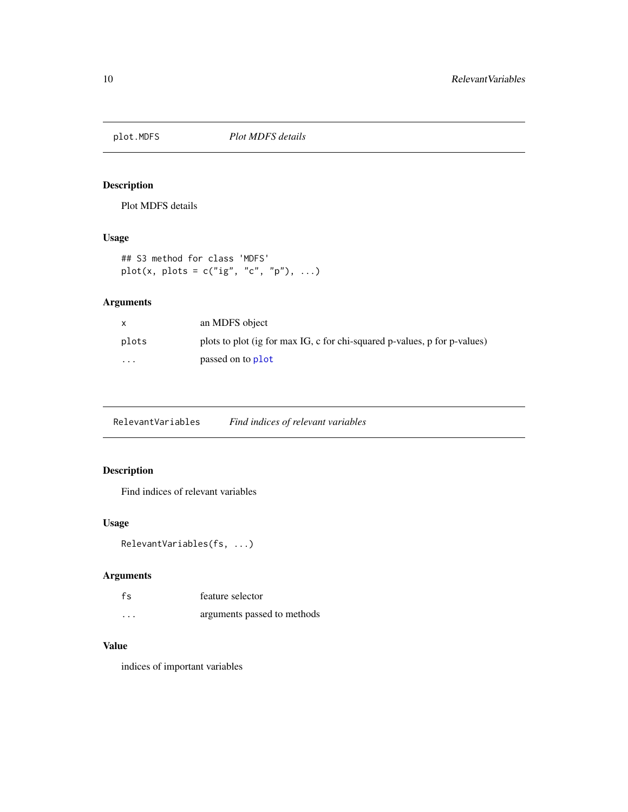<span id="page-9-0"></span>

#### Description

Plot MDFS details

#### Usage

```
## S3 method for class 'MDFS'
plot(x, plots = c("ig", "c", "p"), ...)
```
#### Arguments

| X        | an MDFS object                                                            |
|----------|---------------------------------------------------------------------------|
| plots    | plots to plot (ig for max IG, c for chi-squared p-values, p for p-values) |
| $\cdots$ | passed on to plot                                                         |

RelevantVariables *Find indices of relevant variables*

#### Description

Find indices of relevant variables

#### Usage

```
RelevantVariables(fs, ...)
```
#### Arguments

| fs       | feature selector            |
|----------|-----------------------------|
| $\cdots$ | arguments passed to methods |

#### Value

indices of important variables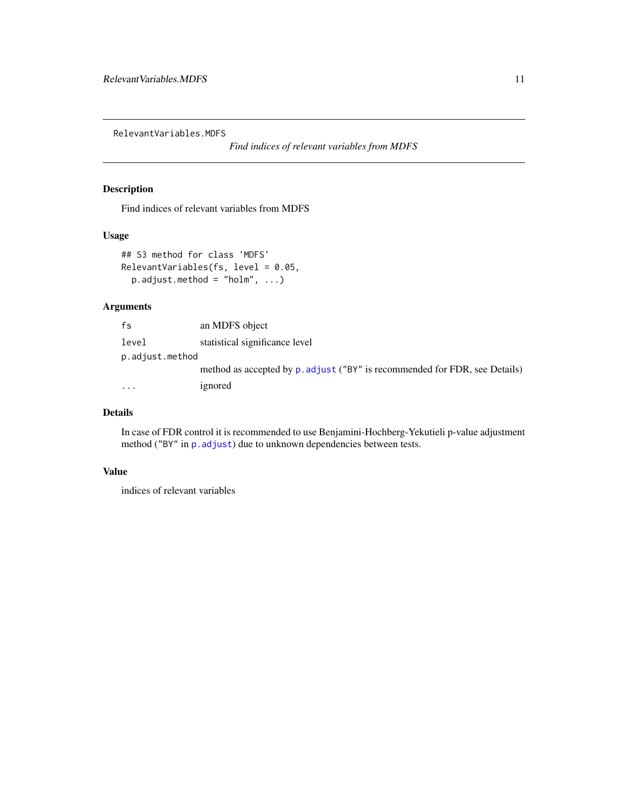<span id="page-10-0"></span>RelevantVariables.MDFS

*Find indices of relevant variables from MDFS*

#### Description

Find indices of relevant variables from MDFS

#### Usage

```
## S3 method for class 'MDFS'
RelevantVariables(fs, level = 0.05,
 p.adjust.method = "holm", ...)
```
#### Arguments

| fs              | an MDFS object                                                             |
|-----------------|----------------------------------------------------------------------------|
| level           | statistical significance level                                             |
| p.adjust.method |                                                                            |
|                 | method as accepted by p. adjust ("BY" is recommended for FDR, see Details) |
| $\cdots$        | ignored                                                                    |

### Details

In case of FDR control it is recommended to use Benjamini-Hochberg-Yekutieli p-value adjustment method ("BY" in p. adjust) due to unknown dependencies between tests.

#### Value

indices of relevant variables